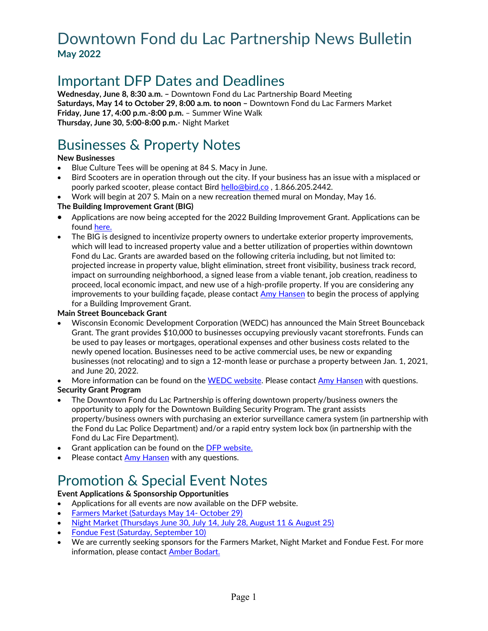### Downtown Fond du Lac Partnership News Bulletin **May 2022**

### Important DFP Dates and Deadlines

**Wednesday, June 8, 8:30 a.m. –** Downtown Fond du Lac Partnership Board Meeting **Saturdays, May 14 to October 29, 8:00 a.m. to noon –** Downtown Fond du Lac Farmers Market **Friday, June 17, 4:00 p.m.-8:00 p.m.** – Summer Wine Walk **Thursday, June 30, 5:00-8:00 p.m.**- Night Market

## Businesses & Property Notes

#### **New Businesses**

- Blue Culture Tees will be opening at 84 S. Macy in June.
- Bird Scooters are in operation through out the city. If your business has an issue with a misplaced or poorly parked scooter, please contact Bird [hello@bird.co ,](mailto:hello@bird.co) 1.866.205.2442.
- Work will begin at 207 S. Main on a new recreation themed mural on Monday, May 16.

#### **The Building Improvement Grant (BIG)**

- Applications are now being accepted for the 2022 Building Improvement Grant. Applications can be found [here.](https://downtownfdl.com/doing-business/financial-incentives/)
- The BIG is designed to incentivize property owners to undertake exterior property improvements, which will lead to increased property value and a better utilization of properties within downtown Fond du Lac. Grants are awarded based on the following criteria including, but not limited to: projected increase in property value, blight elimination, street front visibility, business track record, impact on surrounding neighborhood, a signed lease from a viable tenant, job creation, readiness to proceed, local economic impact, and new use of a high-profile property. If you are considering any improvements to your building façade, please contact [Amy Hansen](mailto:amy@downtownfdl.com) to begin the process of applying for a Building Improvement Grant.

#### **Main Street Bounceback Grant**

• Wisconsin Economic Development Corporation (WEDC) has announced the Main Street Bounceback Grant. The grant provides \$10,000 to businesses occupying previously vacant storefronts. Funds can be used to pay leases or mortgages, operational expenses and other business costs related to the newly opened location. Businesses need to be active commercial uses, be new or expanding businesses (not relocating) and to sign a 12-month lease or purchase a property between Jan. 1, 2021, and June 20, 2022.

More information can be found on the [WEDC website.](https://wedc.org/programs-and-resources/mainstreet-bounceback-grants/) Please contact [Amy Hansen](mailto:amy@downtownfdl.com) with questions.

#### **Security Grant Program**

- The Downtown Fond du Lac Partnership is offering downtown property/business owners the opportunity to apply for the Downtown Building Security Program. The grant assists property/business owners with purchasing an exterior surveillance camera system (in partnership with the Fond du Lac Police Department) and/or a rapid entry system lock box (in partnership with the Fond du Lac Fire Department).
- Grant application can be found on th[e DFP website.](https://downtownfdl.com/doing-business/financial-incentives/)
- Please contact [Amy Hansen](mailto:amy@downtownfdl.com) with any questions.

## Promotion & Special Event Notes

#### **Event Applications & Sponsorship Opportunities**

- Applications for all events are now available on the DFP website.
- [Farmers Market \(Saturdays May 14- October 29\)](https://downtownfdl.com/farmers-market-vendors/)
- [Night Market \(Thursdays June 30, July 14, July 28, August 11 & August 25\)](https://downtownfdl.com/night-market-vendors/)
- [Fondue Fest \(Saturday, September 10\)](https://downtownfdl.com/fondue-fest-vendors/)
- We are currently seeking sponsors for the Farmers Market, Night Market and Fondue Fest. For more information, please contact **Amber Bodart.**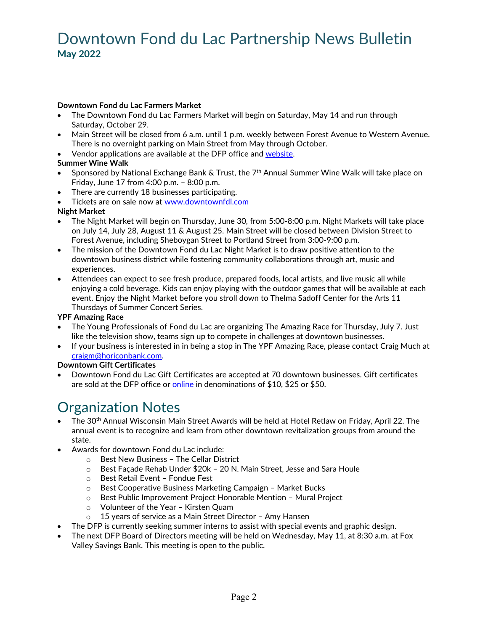### Downtown Fond du Lac Partnership News Bulletin **May 2022**

#### **Downtown Fond du Lac Farmers Market**

- The Downtown Fond du Lac Farmers Market will begin on Saturday, May 14 and run through Saturday, October 29.
- Main Street will be closed from 6 a.m. until 1 p.m. weekly between Forest Avenue to Western Avenue. There is no overnight parking on Main Street from May through October.
- Vendor applications are available at the DFP office and [website.](https://downtownfdl.com/farmers-market-vendors/)

#### **Summer Wine Walk**

- Sponsored by National Exchange Bank & Trust, the  $7<sup>th</sup>$  Annual Summer Wine Walk will take place on Friday, June 17 from 4:00 p.m. – 8:00 p.m.
- There are currently 18 businesses participating.
- Tickets are on sale now at [www.downtownfdl.com](http://www.downtownfdl.com/)

#### **Night Market**

- The Night Market will begin on Thursday, June 30, from 5:00-8:00 p.m. Night Markets will take place on July 14, July 28, August 11 & August 25. Main Street will be closed between Division Street to Forest Avenue, including Sheboygan Street to Portland Street from 3:00-9:00 p.m.
- The mission of the Downtown Fond du Lac Night Market is to draw positive attention to the downtown business district while fostering community collaborations through art, music and experiences.
- Attendees can expect to see fresh produce, prepared foods, local artists, and live music all while enjoying a cold beverage. Kids can enjoy playing with the outdoor games that will be available at each event. Enjoy the Night Market before you stroll down to Thelma Sadoff Center for the Arts 11 Thursdays of Summer Concert Series.

#### **YPF Amazing Race**

- The Young Professionals of Fond du Lac are organizing The Amazing Race for Thursday, July 7. Just like the television show, teams sign up to compete in challenges at downtown businesses.
- If your business is interested in in being a stop in The YPF Amazing Race, please contact Craig Much at [craigm@horiconbank.com.](mailto:craigm@horiconbank.com)

#### **Downtown Gift Certificates**

• Downtown Fond du Lac Gift Certificates are accepted at 70 downtown businesses. Gift certificates are sold at the DFP office or [online](https://downtownfdl.com/doing-business/gift-certificates/) in denominations of \$10, \$25 or \$50.

### Organization Notes

- The 30<sup>th</sup> Annual Wisconsin Main Street Awards will be held at Hotel Retlaw on Friday, April 22. The annual event is to recognize and learn from other downtown revitalization groups from around the state.
- Awards for downtown Fond du Lac include:
	- o Best New Business The Cellar District
	- o Best Façade Rehab Under \$20k 20 N. Main Street, Jesse and Sara Houle
	- o Best Retail Event Fondue Fest
	- o Best Cooperative Business Marketing Campaign Market Bucks
	- o Best Public Improvement Project Honorable Mention Mural Project
	- o Volunteer of the Year Kirsten Quam<br>o 15 years of service as a Main Street Di
	- 15 years of service as a Main Street Director Amy Hansen
- The DFP is currently seeking summer interns to assist with special events and graphic design.
- The next DFP Board of Directors meeting will be held on Wednesday, May 11, at 8:30 a.m. at Fox Valley Savings Bank. This meeting is open to the public.